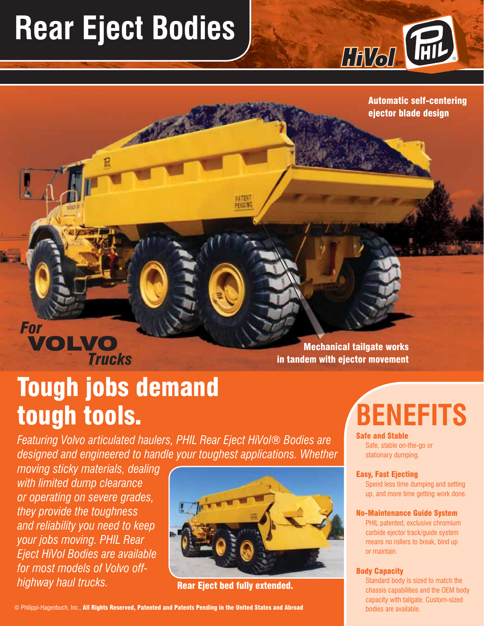## **Rear Eject Bodies**



Automatic self-centering ejector blade design

### *Trucks* VOLVO *For*

Mechanical tailgate works in tandem with ejector movement

## Tough jobs demand tough tools.

*Featuring Volvo articulated haulers, PHIL Rear Eject HiVol® Bodies are designed and engineered to handle your toughest applications. Whether* 

*moving sticky materials, dealing with limited dump clearance or operating on severe grades, they provide the toughness and reliability you need to keep your jobs moving. PHIL Rear Eject HiVol Bodies are available for most models of Volvo offhighway haul trucks.* Rear Eject bed fully extended.



**ATEN** 

© Philippi-Hagenbuch, Inc., All Rights Reserved, Patented and Patents Pending in the United States and Abroad

# **BENEFITS**

Safe and Stable

Safe, stable on-the-go or stationary dumping.

#### Easy, Fast Ejecting

Spend less time dumping and setting up, and more time getting work done.

#### No-Maintenance Guide System

PHIL patented, exclusive chromium carbide ejector track/guide system means no rollers to break, bind up or maintain.

#### Body Capacity

Standard body is sized to match the chassis capabilities and the OEM body capacity with tailgate. Custom-sized bodies are available.